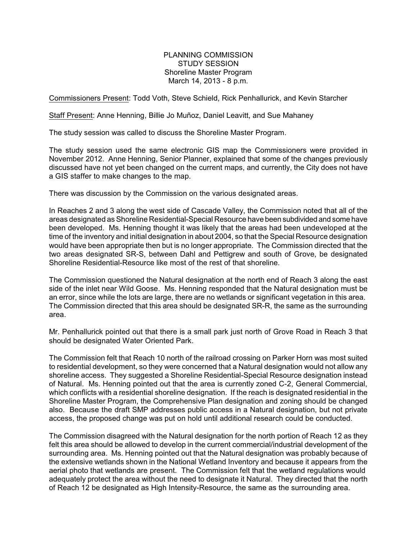PLANNING COMMISSION STUDY SESSION Shoreline Master Program March 14, 2013 - 8 p.m.

Commissioners Present: Todd Voth, Steve Schield, Rick Penhallurick, and Kevin Starcher

Staff Present: Anne Henning, Billie Jo Muñoz, Daniel Leavitt, and Sue Mahaney

The study session was called to discuss the Shoreline Master Program.

The study session used the same electronic GIS map the Commissioners were provided in November 2012. Anne Henning, Senior Planner, explained that some of the changes previously discussed have not yet been changed on the current maps, and currently, the City does not have a GIS staffer to make changes to the map.

There was discussion by the Commission on the various designated areas.

In Reaches 2 and 3 along the west side of Cascade Valley, the Commission noted that all of the areas designated as Shoreline Residential-Special Resource have been subdivided and some have been developed. Ms. Henning thought it was likely that the areas had been undeveloped at the time of the inventory and initial designation in about 2004, so that the Special Resource designation would have been appropriate then but is no longer appropriate. The Commission directed that the two areas designated SR-S, between Dahl and Pettigrew and south of Grove, be designated Shoreline Residential-Resource like most of the rest of that shoreline.

The Commission questioned the Natural designation at the north end of Reach 3 along the east side of the inlet near Wild Goose. Ms. Henning responded that the Natural designation must be an error, since while the lots are large, there are no wetlands or significant vegetation in this area. The Commission directed that this area should be designated SR-R, the same as the surrounding area.

Mr. Penhallurick pointed out that there is a small park just north of Grove Road in Reach 3 that should be designated Water Oriented Park.

The Commission felt that Reach 10 north of the railroad crossing on Parker Horn was most suited to residential development, so they were concerned that a Natural designation would not allow any shoreline access. They suggested a Shoreline Residential-Special Resource designation instead of Natural. Ms. Henning pointed out that the area is currently zoned C-2, General Commercial, which conflicts with a residential shoreline designation. If the reach is designated residential in the Shoreline Master Program, the Comprehensive Plan designation and zoning should be changed also. Because the draft SMP addresses public access in a Natural designation, but not private access, the proposed change was put on hold until additional research could be conducted.

The Commission disagreed with the Natural designation for the north portion of Reach 12 as they felt this area should be allowed to develop in the current commercial/industrial development of the surrounding area. Ms. Henning pointed out that the Natural designation was probably because of the extensive wetlands shown in the National Wetland Inventory and because it appears from the aerial photo that wetlands are present. The Commission felt that the wetland regulations would adequately protect the area without the need to designate it Natural. They directed that the north of Reach 12 be designated as High Intensity-Resource, the same as the surrounding area.